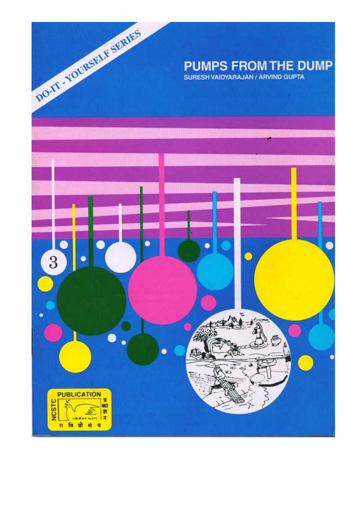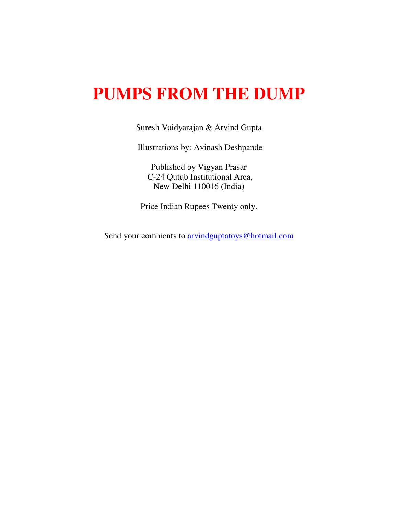# **PUMPS FROM THE DUMP**

Suresh Vaidyarajan & Arvind Gupta

Illustrations by: Avinash Deshpande

Published by Vigyan Prasar C-24 Qutub Institutional Area, New Delhi 110016 (India)

Price Indian Rupees Twenty only.

Send your comments to **arvindguptatoys@hotmail.com**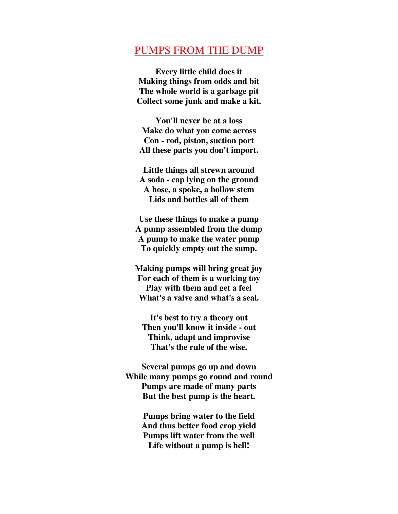# PUMPS FROM THE DUMP

**Every little child does it Making things from odds and bit The whole world is a garbage pit Collect some junk and make a kit.** 

**You'll never be at a loss Make do what you come across Con - rod, piston, suction port All these parts you don't import.** 

**Little things all strewn around A soda - cap lying on the ground A hose, a spoke, a hollow stem Lids and bottles all of them** 

**Use these things to make a pump A pump assembled from the dump A pump to make the water pump To quickly empty out the sump.** 

**Making pumps will bring great joy For each of them is a working toy Play with them and get a feel What's a valve and what's a seal.** 

**It's best to try a theory out Then you'll know it inside - out Think, adapt and improvise That's the rule of the wise.** 

**Several pumps go up and down While many pumps go round and round Pumps are made of many parts But the best pump is the heart.** 

> **Pumps bring water to the field And thus better food crop yield Pumps lift water from the well Life without a pump is hell!**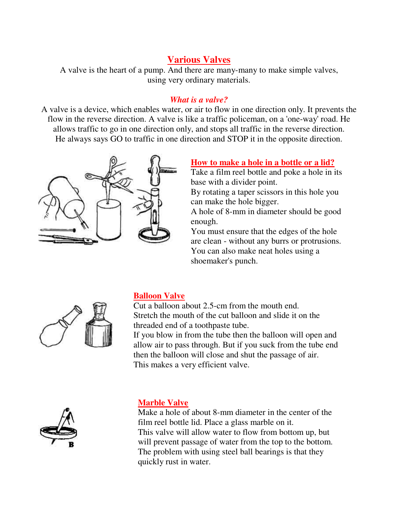# **Various Valves**

A valve is the heart of a pump. And there are many-many to make simple valves, using very ordinary materials.

#### *What is a valve?*

A valve is a device, which enables water, or air to flow in one direction only. It prevents the flow in the reverse direction. A valve is like a traffic policeman, on a 'one-way' road. He allows traffic to go in one direction only, and stops all traffic in the reverse direction. He always says GO to traffic in one direction and STOP it in the opposite direction.



## **How to make a hole in a bottle or a lid?**

Take a film reel bottle and poke a hole in its base with a divider point.

By rotating a taper scissors in this hole you can make the hole bigger.

A hole of 8-mm in diameter should be good enough.

You must ensure that the edges of the hole are clean - without any burrs or protrusions. You can also make neat holes using a shoemaker's punch.



#### **Balloon Valve**

Cut a balloon about 2.5-cm from the mouth end. Stretch the mouth of the cut balloon and slide it on the threaded end of a toothpaste tube.

If you blow in from the tube then the balloon will open and allow air to pass through. But if you suck from the tube end then the balloon will close and shut the passage of air. This makes a very efficient valve.



#### **Marble Valve**

Make a hole of about 8-mm diameter in the center of the film reel bottle lid. Place a glass marble on it. This valve will allow water to flow from bottom up, but will prevent passage of water from the top to the bottom. The problem with using steel ball bearings is that they quickly rust in water.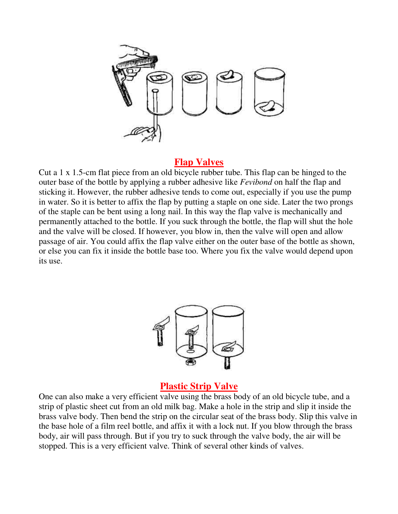

## **Flap Valves**

Cut a 1 x 1.5-cm flat piece from an old bicycle rubber tube. This flap can be hinged to the outer base of the bottle by applying a rubber adhesive like *Fevibond* on half the flap and sticking it. However, the rubber adhesive tends to come out, especially if you use the pump in water. So it is better to affix the flap by putting a staple on one side. Later the two prongs of the staple can be bent using a long nail. In this way the flap valve is mechanically and permanently attached to the bottle. If you suck through the bottle, the flap will shut the hole and the valve will be closed. If however, you blow in, then the valve will open and allow passage of air. You could affix the flap valve either on the outer base of the bottle as shown, or else you can fix it inside the bottle base too. Where you fix the valve would depend upon its use.



# **Plastic Strip Valve**

One can also make a very efficient valve using the brass body of an old bicycle tube, and a strip of plastic sheet cut from an old milk bag. Make a hole in the strip and slip it inside the brass valve body. Then bend the strip on the circular seat of the brass body. Slip this valve in the base hole of a film reel bottle, and affix it with a lock nut. If you blow through the brass body, air will pass through. But if you try to suck through the valve body, the air will be stopped. This is a very efficient valve. Think of several other kinds of valves.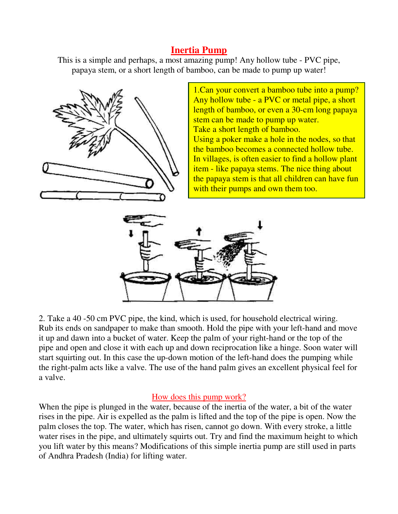# **Inertia Pump**

This is a simple and perhaps, a most amazing pump! Any hollow tube - PVC pipe, papaya stem, or a short length of bamboo, can be made to pump up water!



1.Can your convert a bamboo tube into a pump? Any hollow tube - a PVC or metal pipe, a short length of bamboo, or even a 30-cm long papaya stem can be made to pump up water. Take a short length of bamboo. Using a poker make a hole in the nodes, so that the bamboo becomes a connected hollow tube. In villages, is often easier to find a hollow plant item - like papaya stems. The nice thing about the papaya stem is that all children can have fun with their pumps and own them too.



2. Take a 40 -50 cm PVC pipe, the kind, which is used, for household electrical wiring. Rub its ends on sandpaper to make than smooth. Hold the pipe with your left-hand and move it up and dawn into a bucket of water. Keep the palm of your right-hand or the top of the pipe and open and close it with each up and down reciprocation like a hinge. Soon water will start squirting out. In this case the up-down motion of the left-hand does the pumping while the right-palm acts like a valve. The use of the hand palm gives an excellent physical feel for a valve.

#### How does this pump work?

When the pipe is plunged in the water, because of the inertia of the water, a bit of the water rises in the pipe. Air is expelled as the palm is lifted and the top of the pipe is open. Now the palm closes the top. The water, which has risen, cannot go down. With every stroke, a little water rises in the pipe, and ultimately squirts out. Try and find the maximum height to which you lift water by this means? Modifications of this simple inertia pump are still used in parts of Andhra Pradesh (India) for lifting water.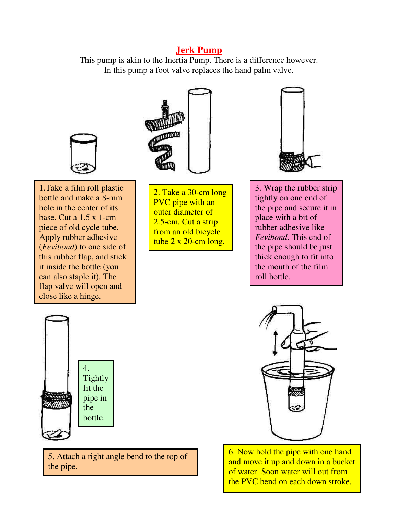# **Jerk Pump**

This pump is akin to the Inertia Pump. There is a difference however. In this pump a foot valve replaces the hand palm valve.



 Apply rubber adhesive it inside the bottle (you can also staple it). The flap valve will open and 1.Take a film roll plastic bottle and make a 8-mm hole in the center of its base. Cut a  $1.5 \times 1$ -cm piece of old cycle tube. (*Fevibond*) to one side of this rubber flap, and stick close like a hinge.



2. Take a 30-cm long PVC pipe with an outer diameter of 2.5-cm. Cut a strip from an old bicycle tube 2 x 20-cm long.



3. Wrap the rubber strip tightly on one end of the pipe and secure it in place with a bit of rubber adhesive like *Fevibond*. This end of the pipe should be just thick enough to fit into the mouth of the film roll bottle.



5. Attach a right angle bend to the top of the pipe.



6. Now hold the pipe with one hand and move it up and down in a bucket of water. Soon water will out from the PVC bend on each down stroke.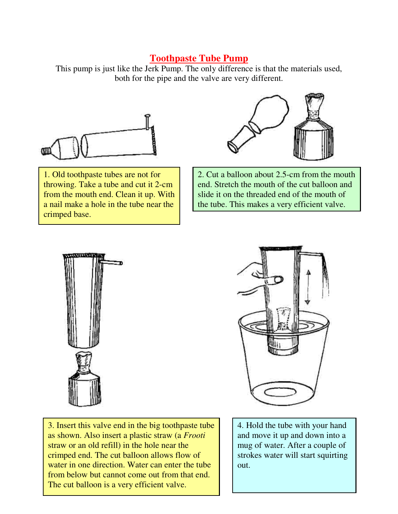## **Toothpaste Tube Pump**

This pump is just like the Jerk Pump. The only difference is that the materials used, both for the pipe and the valve are very different.



1. Old toothpaste tubes are not for throwing. Take a tube and cut it 2-cm from the mouth end. Clean it up. With a nail make a hole in the tube near the crimped base.



2. Cut a balloon about 2.5-cm from the mouth end. Stretch the mouth of the cut balloon and slide it on the threaded end of the mouth of the tube. This makes a very efficient valve.







4. Hold the tube with your hand and move it up and down into a mug of water. After a couple of strokes water will start squirting out.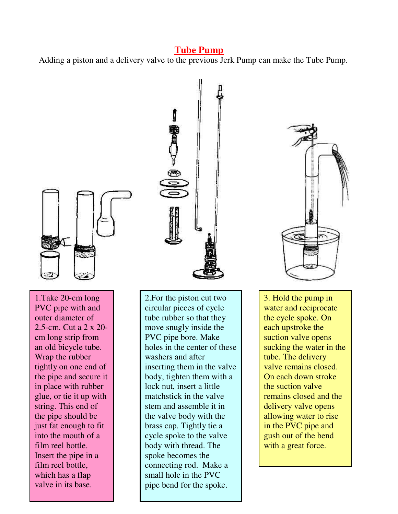#### **Tube Pump**

Adding a piston and a delivery valve to the previous Jerk Pump can make the Tube Pump.



 in place with rubber glue, or tie it up with just fat enough to fit into the mouth of a 1.Take 20-cm long PVC pipe with and outer diameter of 2.5-cm. Cut a 2 x 20 cm long strip from an old bicycle tube. Wrap the rubber tightly on one end of the pipe and secure it string. This end of the pipe should be film reel bottle. Insert the pipe in a film reel bottle, which has a flap valve in its base.



2.For the piston cut two circular pieces of cycle tube rubber so that they move snugly inside the PVC pipe bore. Make holes in the center of these washers and after inserting them in the valve body, tighten them with a lock nut, insert a little matchstick in the valve stem and assemble it in the valve body with the brass cap. Tightly tie a cycle spoke to the valve body with thread. The spoke becomes the connecting rod. Make a small hole in the PVC pipe bend for the spoke.



3. Hold the pump in water and reciprocate the cycle spoke. On each upstroke the suction valve opens sucking the water in the tube. The delivery valve remains closed. On each down stroke the suction valve remains closed and the delivery valve opens allowing water to rise in the PVC pipe and gush out of the bend with a great force.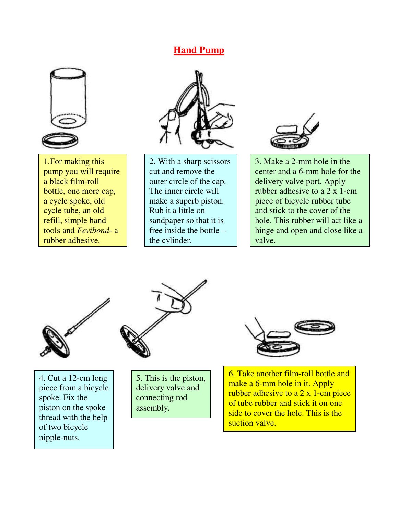# **Hand Pump**



I I

1.For making this pump you will require a black film-roll bottle, one more cap, a cycle spoke, old cycle tube, an old refill, simple hand tools and *Fevibond*- a rubber adhesive.



2. With a sharp scissors cut and remove the outer circle of the cap. The inner circle will make a superb piston. Rub it a little on sandpaper so that it is free inside the bottle – the cylinder.



3. Make a 2-mm hole in the center and a 6-mm hole for the delivery valve port. Apply rubber adhesive to a 2 x 1-cm piece of bicycle rubber tube and stick to the cover of the hole. This rubber will act like a hinge and open and close like a valve.



4. Cut a 12-cm long piece from a bicycle spoke. Fix the piston on the spoke thread with the help of two bicycle nipple-nuts.

5. This is the piston, delivery valve and connecting rod assembly.



6. Take another film-roll bottle and make a 6-mm hole in it. Apply rubber adhesive to a 2 x 1-cm piece of tube rubber and stick it on one side to cover the hole. This is the suction valve.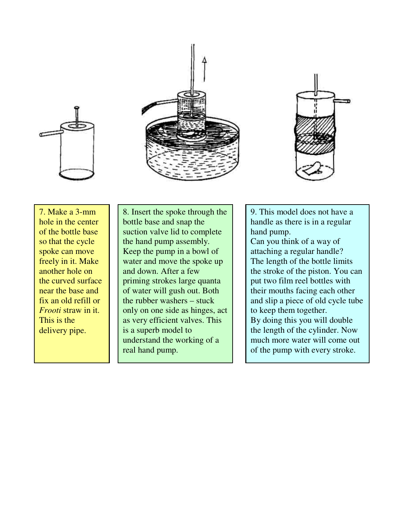





7. Make a 3-mm hole in the center of the bottle base so that the cycle spoke can move freely in it. Make another hole on the curved surface near the base and fix an old refill or *Frooti* straw in it. This is the delivery pipe.

8. Insert the spoke through the bottle base and snap the suction valve lid to complete the hand pump assembly. Keep the pump in a bowl of water and move the spoke up and down. After a few priming strokes large quanta of water will gush out. Both the rubber washers – stuck only on one side as hinges, act as very efficient valves. This is a superb model to understand the working of a real hand pump.

9. This model does not have a handle as there is in a regular hand pump.

Can you think of a way of attaching a regular handle? The length of the bottle limits the stroke of the piston. You can put two film reel bottles with their mouths facing each other and slip a piece of old cycle tube to keep them together. By doing this you will double the length of the cylinder. Now much more water will come out of the pump with every stroke.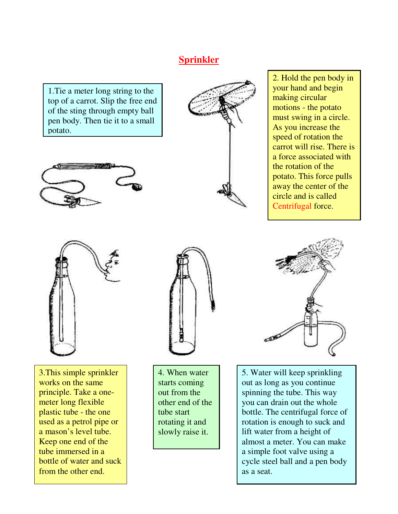# **Sprinkler**

1.Tie a meter long string to the top of a carrot. Slip the free end of the sting through empty ball pen body. Then tie it to a small potato.





 meter long flexible 3.This simple sprinkler works on the same principle. Take a oneplastic tube - the one used as a petrol pipe or a mason's level tube. Keep one end of the tube immersed in a bottle of water and suck from the other end.



2. Hold the pen body in your hand and begin making circular motions - the potato must swing in a circle. As you increase the speed of rotation the carrot will rise. There is a force associated with the rotation of the potato. This force pulls away the center of the circle and is called Centrifugal force.



5. Water will keep sprinkling out as long as you continue spinning the tube. This way you can drain out the whole bottle. The centrifugal force of rotation is enough to suck and lift water from a height of almost a meter. You can make a simple foot valve using a cycle steel ball and a pen body as a seat.



4. When water starts coming out from the other end of the tube start rotating it and slowly raise it.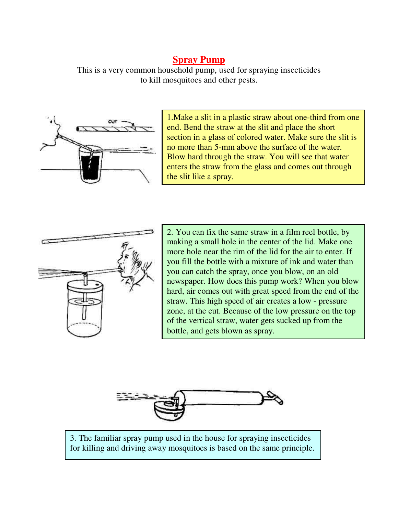# **Spray Pump**

This is a very common household pump, used for spraying insecticides to kill mosquitoes and other pests.



1.Make a slit in a plastic straw about one-third from one end. Bend the straw at the slit and place the short section in a glass of colored water. Make sure the slit is no more than 5-mm above the surface of the water. Blow hard through the straw. You will see that water enters the straw from the glass and comes out through the slit like a spray.



2. You can fix the same straw in a film reel bottle, by making a small hole in the center of the lid. Make one more hole near the rim of the lid for the air to enter. If you fill the bottle with a mixture of ink and water than you can catch the spray, once you blow, on an old newspaper. How does this pump work? When you blow hard, air comes out with great speed from the end of the straw. This high speed of air creates a low - pressure zone, at the cut. Because of the low pressure on the top of the vertical straw, water gets sucked up from the bottle, and gets blown as spray.



3. The familiar spray pump used in the house for spraying insecticides for killing and driving away mosquitoes is based on the same principle.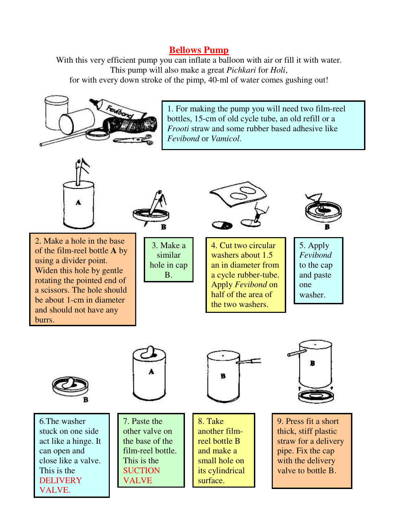# **Bellows Pump**

With this very efficient pump you can inflate a balloon with air or fill it with water. This pump will also make a great *Pichkari* for *Holi*, for with every down stroke of the pimp, 40-ml of water comes gushing out!



1. For making the pump you will need two film-reel bottles, 15-cm of old cycle tube, an old refill or a *Frooti* straw and some rubber based adhesive like *Fevibond* or *Vamicol*.



2. Make a hole in the base of the film-reel bottle **A** by using a divider point. Widen this hole by gentle rotating the pointed end of a scissors. The hole should be about 1-cm in diameter and should not have any burrs.



3. Make a similar hole in cap B.



4. Cut two circular washers about 1.5 an in diameter from a cycle rubber-tube. Apply *Fevibond* on half of the area of the two washers.







. close like a valve. 6.The washer stuck on one side act like a hinge. It can open and This is the **DELIVERY** VALVE.



7. Paste the other valve on the base of the film-reel bottle.

This is the **SUCTION** VALVE





8. Take another filmreel bottle B and make a small hole on its cylindrical surface.

9. Press fit a short thick, stiff plastic straw for a delivery pipe. Fix the cap with the delivery valve to bottle B.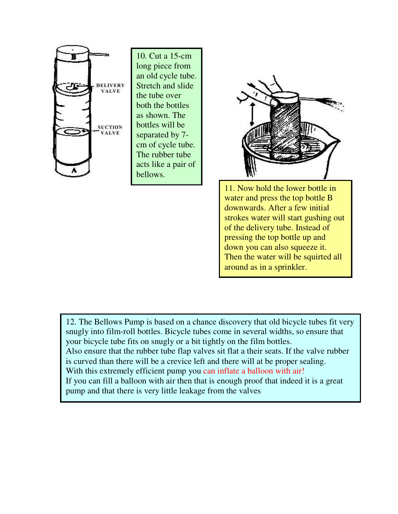

10. Cut a 15-cm long piece from an old cycle tube. Stretch and slide the tube over both the bottles as shown. The bottles will be separated by 7 cm of cycle tube. The rubber tube acts like a pair of bellows.



11. Now hold the lower bottle in water and press the top bottle B downwards. After a few initial strokes water will start gushing out of the delivery tube. Instead of pressing the top bottle up and down you can also squeeze it. Then the water will be squirted all around as in a sprinkler.

12. The Bellows Pump is based on a chance discovery that old bicycle tubes fit very snugly into film-roll bottles. Bicycle tubes come in several widths, so ensure that your bicycle tube fits on snugly or a bit tightly on the film bottles. Also ensure that the rubber tube flap valves sit flat a their seats. If the valve rubber is curved than there will be a crevice left and there will at be proper sealing. With this extremely efficient pump you can inflate a balloon with air! If you can fill a balloon with air then that is enough proof that indeed it is a great pump and that there is very little leakage from the valves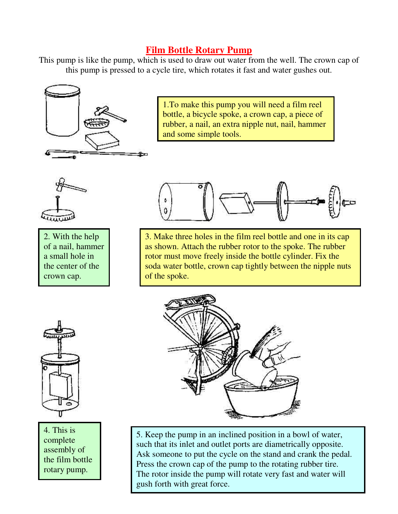# **Film Bottle Rotary Pump**

This pump is like the pump, which is used to draw out water from the well. The crown cap of this pump is pressed to a cycle tire, which rotates it fast and water gushes out.



1.To make this pump you will need a film reel bottle, a bicycle spoke, a crown cap, a piece of rubber, a nail, an extra nipple nut, nail, hammer and some simple tools.



2. With the help of a nail, hammer a small hole in the center of the crown cap.



3. Make three holes in the film reel bottle and one in its cap as shown. Attach the rubber rotor to the spoke. The rubber rotor must move freely inside the bottle cylinder. Fix the soda water bottle, crown cap tightly between the nipple nuts of the spoke.



4. This is complete assembly of the film bottle rotary pump.



5. Keep the pump in an inclined position in a bowl of water, such that its inlet and outlet ports are diametrically opposite. Ask someone to put the cycle on the stand and crank the pedal. Press the crown cap of the pump to the rotating rubber tire. The rotor inside the pump will rotate very fast and water will gush forth with great force.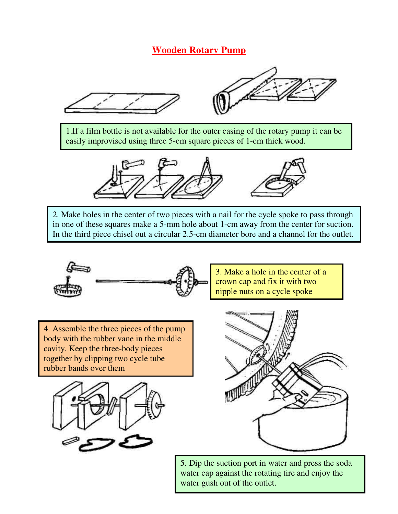# **Wooden Rotary Pump**



1.If a film bottle is not available for the outer casing of the rotary pump it can be easily improvised using three 5-cm square pieces of 1-cm thick wood.



2. Make holes in the center of two pieces with a nail for the cycle spoke to pass through in one of these squares make a 5-mm hole about 1-cm away from the center for suction. In the third piece chisel out a circular 2.5-cm diameter bore and a channel for the outlet.



4. Assemble the three pieces of the pump body with the rubber vane in the middle cavity. Keep the three-body pieces together by clipping two cycle tube rubber bands over them



3. Make a hole in the center of a crown cap and fix it with two nipple nuts on a cycle spoke



5. Dip the suction port in water and press the soda water cap against the rotating tire and enjoy the water gush out of the outlet.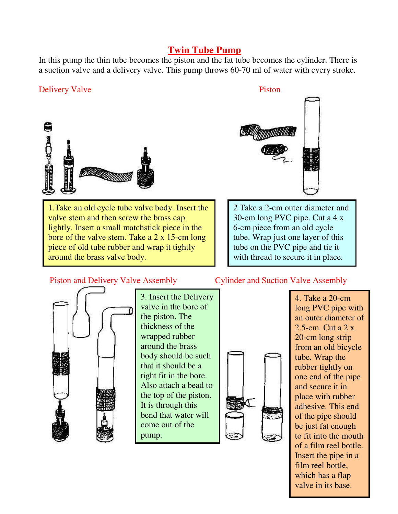### **Twin Tube Pump**

In this pump the thin tube becomes the piston and the fat tube becomes the cylinder. There is a suction valve and a delivery valve. This pump throws 60-70 ml of water with every stroke.

#### Delivery Valve Piston



1.Take an old cycle tube valve body. Insert the valve stem and then screw the brass cap lightly. Insert a small matchstick piece in the bore of the valve stem. Take a 2 x 15-cm long piece of old tube rubber and wrap it tightly around the brass valve body.

 $\mathbf{I}$ 

#### Piston and Delivery Valve Assembly Cylinder and Suction Valve Assembly



3. Insert the Delivery valve in the bore of the piston. The thickness of the wrapped rubber around the brass body should be such that it should be a tight fit in the bore. Also attach a bead to the top of the piston. It is through this bend that water will come out of the pump.



4. Take a 20-cm long PVC pipe with an outer diameter of 2.5-cm. Cut a 2 x 20-cm long strip from an old bicycle tube. Wrap the rubber tightly on one end of the pipe and secure it in place with rubber adhesive. This end of the pipe should be just fat enough to fit into the mouth of a film reel bottle. Insert the pipe in a film reel bottle, which has a flap valve in its base.



2 Take a 2-cm outer diameter and 30-cm long PVC pipe. Cut a 4 x 6-cm piece from an old cycle tube. Wrap just one layer of this tube on the PVC pipe and tie it with thread to secure it in place.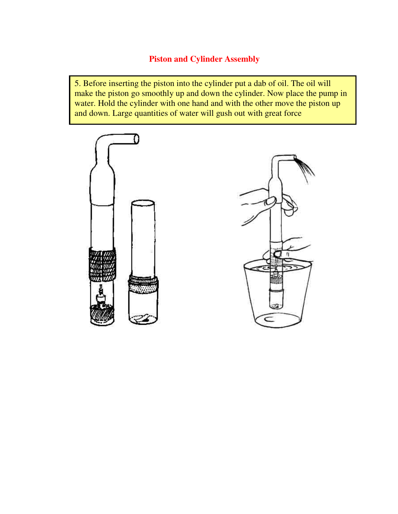# **Piston and Cylinder Assembly**

5. Before inserting the piston into the cylinder put a dab of oil. The oil will make the piston go smoothly up and down the cylinder. Now place the pump in water. Hold the cylinder with one hand and with the other move the piston up and down. Large quantities of water will gush out with great force



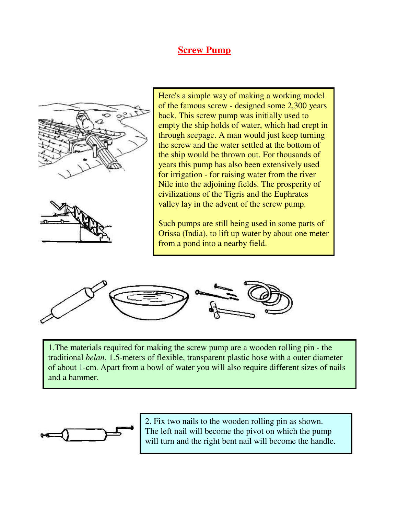# **Screw Pump**





Here's a simple way of making a working model of the famous screw - designed some 2,300 years back. This screw pump was initially used to empty the ship holds of water, which had crept in through seepage. A man would just keep turning the screw and the water settled at the bottom of the ship would be thrown out. For thousands of years this pump has also been extensively used for irrigation - for raising water from the river Nile into the adjoining fields. The prosperity of civilizations of the Tigris and the Euphrates valley lay in the advent of the screw pump.

Such pumps are still being used in some parts of Orissa (India), to lift up water by about one meter from a pond into a nearby field.



1.The materials required for making the screw pump are a wooden rolling pin - the traditional *belan*, 1.5-meters of flexible, transparent plastic hose with a outer diameter of about 1-cm. Apart from a bowl of water you will also require different sizes of nails and a hammer.



2. Fix two nails to the wooden rolling pin as shown. The left nail will become the pivot on which the pump will turn and the right bent nail will become the handle.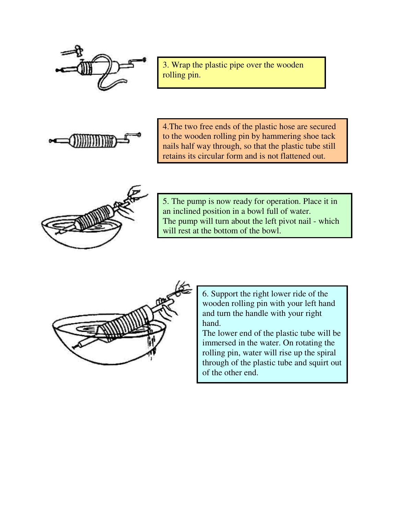

3. Wrap the plastic pipe over the wooden rolling pin.



4.The two free ends of the plastic hose are secured to the wooden rolling pin by hammering shoe tack nails half way through, so that the plastic tube still retains its circular form and is not flattened out.



5. The pump is now ready for operation. Place it in an inclined position in a bowl full of water. The pump will turn about the left pivot nail - which will rest at the bottom of the bowl.



6. Support the right lower ride of the wooden rolling pin with your left hand and turn the handle with your right hand.

The lower end of the plastic tube will be immersed in the water. On rotating the rolling pin, water will rise up the spiral through of the plastic tube and squirt out of the other end.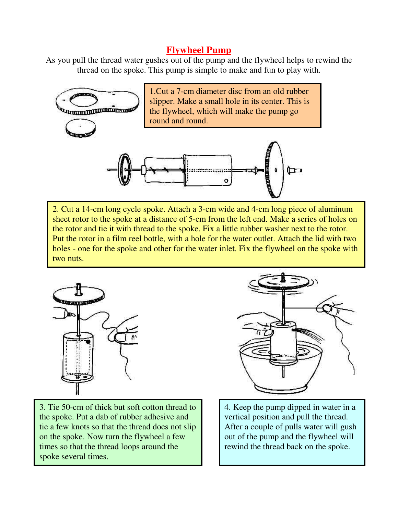# **Flywheel Pump**

As you pull the thread water gushes out of the pump and the flywheel helps to rewind the thread on the spoke. This pump is simple to make and fun to play with.



2. Cut a 14-cm long cycle spoke. Attach a 3-cm wide and 4-cm long piece of aluminum sheet rotor to the spoke at a distance of 5-cm from the left end. Make a series of holes on the rotor and tie it with thread to the spoke. Fix a little rubber washer next to the rotor. Put the rotor in a film reel bottle, with a hole for the water outlet. Attach the lid with two holes - one for the spoke and other for the water inlet. Fix the flywheel on the spoke with two nuts.



į 3. Tie 50-cm of thick but soft cotton thread to the spoke. Put a dab of rubber adhesive and tie a few knots so that the thread does not slip on the spoke. Now turn the flywheel a few times so that the thread loops around the spoke several times.



4. Keep the pump dipped in water in a vertical position and pull the thread. After a couple of pulls water will gush out of the pump and the flywheel will rewind the thread back on the spoke.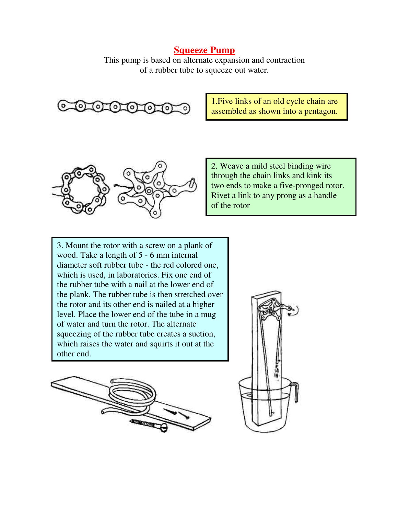#### **Squeeze Pump**

This pump is based on alternate expansion and contraction of a rubber tube to squeeze out water.



1.Five links of an old cycle chain are assembled as shown into a pentagon.



2. Weave a mild steel binding wire through the chain links and kink its two ends to make a five-pronged rotor. Rivet a link to any prong as a handle of the rotor

3. Mount the rotor with a screw on a plank of wood. Take a length of 5 - 6 mm internal diameter soft rubber tube - the red colored one, which is used, in laboratories. Fix one end of the rubber tube with a nail at the lower end of the plank. The rubber tube is then stretched over the rotor and its other end is nailed at a higher level. Place the lower end of the tube in a mug of water and turn the rotor. The alternate squeezing of the rubber tube creates a suction, which raises the water and squirts it out at the other end.



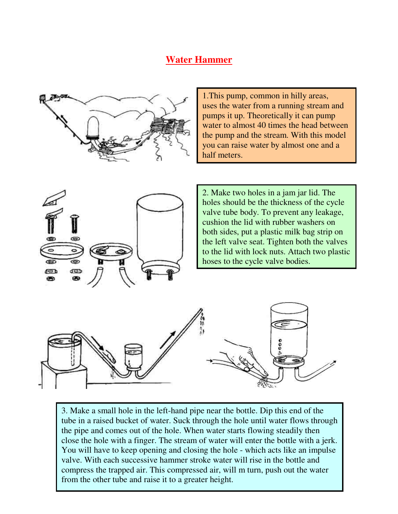# **Water Hammer**



1.This pump, common in hilly areas, uses the water from a running stream and pumps it up. Theoretically it can pump water to almost 40 times the head between the pump and the stream. With this model you can raise water by almost one and a half meters.



2. Make two holes in a jam jar lid. The holes should be the thickness of the cycle valve tube body. To prevent any leakage, cushion the lid with rubber washers on both sides, put a plastic milk bag strip on the left valve seat. Tighten both the valves to the lid with lock nuts. Attach two plastic hoses to the cycle valve bodies.



3. Make a small hole in the left-hand pipe near the bottle. Dip this end of the tube in a raised bucket of water. Suck through the hole until water flows through the pipe and comes out of the hole. When water starts flowing steadily then close the hole with a finger. The stream of water will enter the bottle with a jerk. You will have to keep opening and closing the hole - which acts like an impulse valve. With each successive hammer stroke water will rise in the bottle and compress the trapped air. This compressed air, will m turn, push out the water from the other tube and raise it to a greater height.